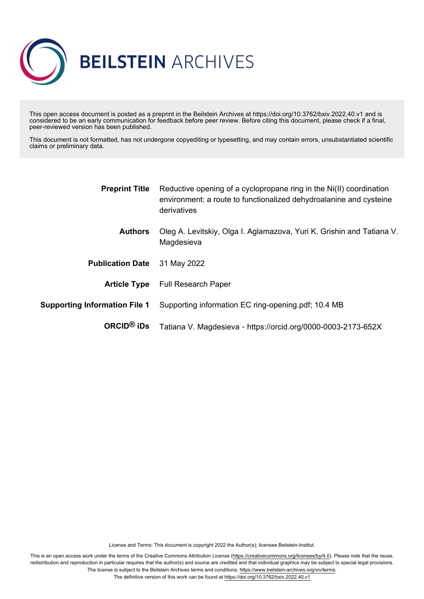

This open access document is posted as a preprint in the Beilstein Archives at https://doi.org/10.3762/bxiv.2022.40.v1 and is considered to be an early communication for feedback before peer review. Before citing this document, please check if a final, peer-reviewed version has been published.

This document is not formatted, has not undergone copyediting or typesetting, and may contain errors, unsubstantiated scientific claims or preliminary data.

| <b>Preprint Title</b>                | Reductive opening of a cyclopropane ring in the Ni(II) coordination<br>environment: a route to functionalized dehydroalanine and cysteine<br>derivatives |  |  |
|--------------------------------------|----------------------------------------------------------------------------------------------------------------------------------------------------------|--|--|
| <b>Authors</b>                       | Oleg A. Levitskiy, Olga I. Aglamazova, Yuri K. Grishin and Tatiana V.<br>Magdesieva                                                                      |  |  |
| <b>Publication Date</b>              | 31 May 2022                                                                                                                                              |  |  |
|                                      | <b>Article Type</b> Full Research Paper                                                                                                                  |  |  |
| <b>Supporting Information File 1</b> | Supporting information EC ring-opening pdf; 10.4 MB                                                                                                      |  |  |
| ORCID <sup>®</sup> iDs               | Tatiana V. Magdesieva - https://orcid.org/0000-0003-2173-652X                                                                                            |  |  |

License and Terms: This document is copyright 2022 the Author(s); licensee Beilstein-Institut.

This is an open access work under the terms of the Creative Commons Attribution License [\(https://creativecommons.org/licenses/by/4.0\)](https://creativecommons.org/licenses/by/4.0). Please note that the reuse, redistribution and reproduction in particular requires that the author(s) and source are credited and that individual graphics may be subject to special legal provisions. The license is subject to the Beilstein Archives terms and conditions: [https://www.beilstein-archives.org/xiv/terms.](https://www.beilstein-archives.org/xiv/terms)

The definitive version of this work can be found at <https://doi.org/10.3762/bxiv.2022.40.v1>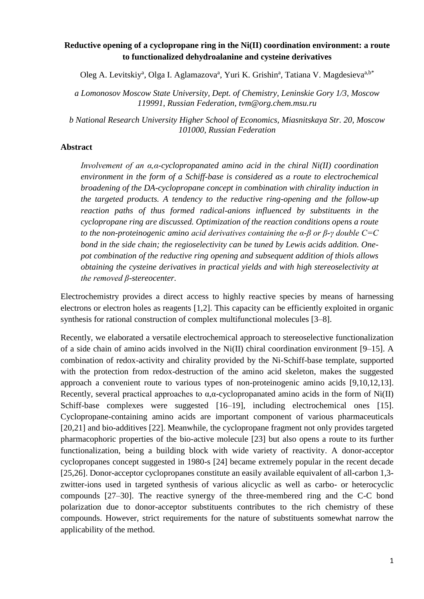# **Reductive opening of a cyclopropane ring in the Ni(II) coordination environment: a route to functionalized dehydroalanine and cysteine derivatives**

Oleg A. Levitskiy<sup>a</sup>, Olga I. Aglamazova<sup>a</sup>, Yuri K. Grishin<sup>a</sup>, Tatiana V. Magdesieva<sup>a,b\*</sup>

*a Lomonosov Moscow State University, Dept. of Chemistry, Leninskie Gory 1/3, Moscow 119991, Russian Federation, tvm@org.chem.msu.ru*

*b National Research University Higher School of Economics, Miasnitskaya Str. 20, Moscow 101000, Russian Federation*

#### **Abstract**

*Involvement of an α,α-cyclopropanated amino acid in the chiral Ni(II) coordination environment in the form of a Schiff-base is considered as a route to electrochemical broadening of the DA-cyclopropane concept in combination with chirality induction in the targeted products. A tendency to the reductive ring-opening and the follow-up reaction paths of thus formed radical-anions influenced by substituents in the cyclopropane ring are discussed. Optimization of the reaction conditions opens a route to the non-proteinogenic amino acid derivatives containing the α-β or β-γ double C=C bond in the side chain; the regioselectivity can be tuned by Lewis acids addition. Onepot combination of the reductive ring opening and subsequent addition of thiols allows obtaining the cysteine derivatives in practical yields and with high stereoselectivity at the removed β-stereocenter.*

Electrochemistry provides a direct access to highly reactive species by means of harnessing electrons or electron holes as reagents [1,2]. This capacity can be efficiently exploited in organic synthesis for rational construction of complex multifunctional molecules [3–8].

Recently, we elaborated a versatile electrochemical approach to stereoselective functionalization of a side chain of amino acids involved in the Ni(II) chiral coordination environment [9–15]. A combination of redox-activity and chirality provided by the Ni-Schiff-base template, supported with the protection from redox-destruction of the amino acid skeleton, makes the suggested approach a convenient route to various types of non-proteinogenic amino acids [9,10,12,13]. Recently, several practical approaches to  $\alpha$ , $\alpha$ -cyclopropanated amino acids in the form of Ni(II) Schiff-base complexes were suggested [16–19], including electrochemical ones [15]. Cyclopropane-containing amino acids are important component of various pharmaceuticals [20,21] and bio-additives [22]. Meanwhile, the cyclopropane fragment not only provides targeted pharmacophoric properties of the bio-active molecule [23] but also opens a route to its further functionalization, being a building block with wide variety of reactivity. A donor-acceptor cyclopropanes concept suggested in 1980-s [24] became extremely popular in the recent decade [25,26]. Donor-acceptor cyclopropanes constitute an easily available equivalent of all-carbon 1,3 zwitter-ions used in targeted synthesis of various alicyclic as well as carbo- or heterocyclic compounds [27–30]. The reactive synergy of the three-membered ring and the C-C bond polarization due to donor-acceptor substituents contributes to the rich chemistry of these compounds. However, strict requirements for the nature of substituents somewhat narrow the applicability of the method.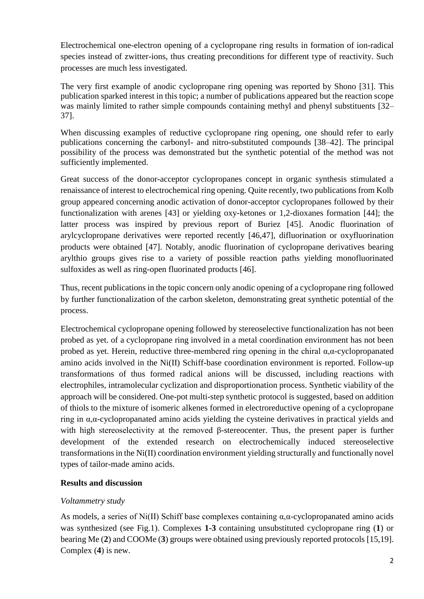Electrochemical one-electron opening of a cyclopropane ring results in formation of ion-radical species instead of zwitter-ions, thus creating preconditions for different type of reactivity. Such processes are much less investigated.

The very first example of anodic cyclopropane ring opening was reported by Shono [31]. This publication sparked interest in this topic; a number of publications appeared but the reaction scope was mainly limited to rather simple compounds containing methyl and phenyl substituents [32– 37].

When discussing examples of reductive cyclopropane ring opening, one should refer to early publications concerning the carbonyl- and nitro-substituted compounds [38–42]. The principal possibility of the process was demonstrated but the synthetic potential of the method was not sufficiently implemented.

Great success of the donor-acceptor cyclopropanes concept in organic synthesis stimulated a renaissance of interest to electrochemical ring opening. Quite recently, two publications from Kolb group appeared concerning anodic activation of donor-acceptor cyclopropanes followed by their functionalization with arenes [43] or yielding oxy-ketones or 1,2-dioxanes formation [44]; the latter process was inspired by previous report of Buriez [45]. Anodic fluorination of arylcyclopropane derivatives were reported recently [46,47], difluorination or oxyfluorination products were obtained [47]. Notably, anodic fluorination of cyclopropane derivatives bearing arylthio groups gives rise to a variety of possible reaction paths yielding monofluorinated sulfoxides as well as ring-open fluorinated products [46].

Thus, recent publications in the topic concern only anodic opening of a cyclopropane ring followed by further functionalization of the carbon skeleton, demonstrating great synthetic potential of the process.

Electrochemical cyclopropane opening followed by stereoselective functionalization has not been probed as yet. of a cyclopropane ring involved in a metal coordination environment has not been probed as yet. Herein, reductive three-membered ring opening in the chiral  $\alpha$ , $\alpha$ -cyclopropanated amino acids involved in the Ni(II) Schiff-base coordination environment is reported. Follow-up transformations of thus formed radical anions will be discussed, including reactions with electrophiles, intramolecular cyclization and disproportionation process. Synthetic viability of the approach will be considered. One-pot multi-step synthetic protocol is suggested, based on addition of thiols to the mixture of isomeric alkenes formed in electroreductive opening of a cyclopropane ring in α,α-cyclopropanated amino acids yielding the cysteine derivatives in practical yields and with high stereoselectivity at the removed β-stereocenter. Thus, the present paper is further development of the extended research on electrochemically induced stereoselective transformations in the Ni(II) coordination environment yielding structurally and functionally novel types of tailor-made amino acids.

# **Results and discussion**

# *Voltammetry study*

As models, a series of Ni(II) Schiff base complexes containing  $\alpha$ , $\alpha$ -cyclopropanated amino acids was synthesized (see Fig.1). Complexes **1-3** containing unsubstituted cyclopropane ring (**1**) or bearing Me (**2**) and COOMe (**3**) groups were obtained using previously reported protocols [15,19]. Complex (**4**) is new.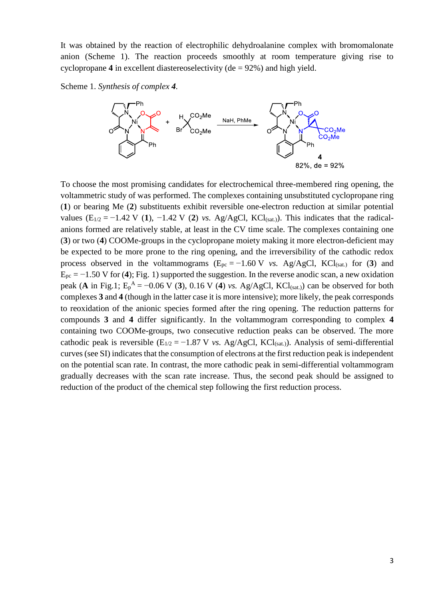It was obtained by the reaction of electrophilic dehydroalanine complex with bromomalonate anion (Scheme 1). The reaction proceeds smoothly at room temperature giving rise to cyclopropane  $4$  in excellent diastereoselectivity ( $de = 92\%$ ) and high yield.

Scheme 1. *Synthesis of complex 4.*



To choose the most promising candidates for electrochemical three-membered ring opening, the voltammetric study of was performed. The complexes containing unsubstituted cyclopropane ring (**1**) or bearing Me (**2**) substituents exhibit reversible one-electron reduction at similar potential values ( $E_{1/2} = -1.42$  V (1),  $-1.42$  V (2) *vs.* Ag/AgCl, KCl<sub>(sat.)</sub>). This indicates that the radicalanions formed are relatively stable, at least in the CV time scale. The complexes containing one (**3**) or two (**4**) COOMe-groups in the cyclopropane moiety making it more electron-deficient may be expected to be more prone to the ring opening, and the irreversibility of the cathodic redox process observed in the voltammograms  $(E_{pc} = -1.60 \text{ V}$  *vs.* Ag/AgCl, KCl<sub>(sat.)</sub> for (3) and Epc = −1.50 V for (**4**); Fig. 1) supported the suggestion. In the reverse anodic scan, a new oxidation peak (A in Fig.1;  $E_p^A = -0.06$  V (3), 0.16 V (4) *vs.* Ag/AgCl, KCl<sub>(sat.)</sub>) can be observed for both complexes **3** and **4** (though in the latter case it is more intensive); more likely, the peak corresponds to reoxidation of the anionic species formed after the ring opening. The reduction patterns for compounds **3** and **4** differ significantly. In the voltammogram corresponding to complex **4** containing two COOMe-groups, two consecutive reduction peaks can be observed. The more cathodic peak is reversible  $(E_{1/2} = -1.87 \text{ V}$  *vs.* Ag/AgCl, KCl(sat.)). Analysis of semi-differential curves (see SI) indicates that the consumption of electrons at the first reduction peak is independent on the potential scan rate. In contrast, the more cathodic peak in semi-differential voltammogram gradually decreases with the scan rate increase. Thus, the second peak should be assigned to reduction of the product of the chemical step following the first reduction process.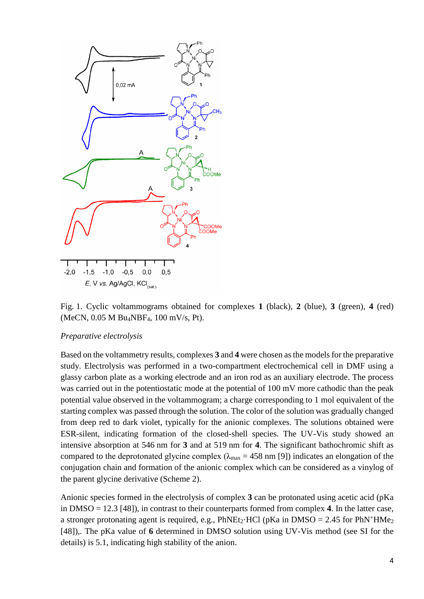

Fig. 1. Cyclic voltammograms obtained for complexes **1** (black), **2** (blue), **3** (green), **4** (red) (MeCN, 0.05 M Bu4NBF4, 100 mV/s, Pt).

#### *Preparative electrolysis*

Based on the voltammetry results, complexes **3** and **4** were chosen as the models for the preparative study. Electrolysis was performed in a two-compartment electrochemical cell in DMF using a glassy carbon plate as a working electrode and an iron rod as an auxiliary electrode. The process was carried out in the potentiostatic mode at the potential of 100 mV more cathodic than the peak potential value observed in the voltammogram; a charge corresponding to 1 mol equivalent of the starting complex was passed through the solution. The color of the solution was gradually changed from deep red to dark violet, typically for the anionic complexes. The solutions obtained were ESR-silent, indicating formation of the closed-shell species. The UV-Vis study showed an intensive absorption at 546 nm for **3** and at 519 nm for **4**. The significant bathochromic shift as compared to the deprotonated glycine complex ( $\lambda_{\text{max}}$  = 458 nm [9]) indicates an elongation of the conjugation chain and formation of the anionic complex which can be considered as a vinylog of the parent glycine derivative (Scheme 2).

Anionic species formed in the electrolysis of complex **3** can be protonated using acetic acid (pKa in DMSO = 12.3 [48]), in contrast to their counterparts formed from complex **4**. In the latter case, a stronger protonating agent is required, e.g., PhNEt<sub>2</sub>·HCl (pKa in DMSO = 2.45 for PhN<sup>+</sup>HMe<sub>2</sub> [48]),. The pKa value of **6** determined in DMSO solution using UV-Vis method (see SI for the details) is 5.1, indicating high stability of the anion.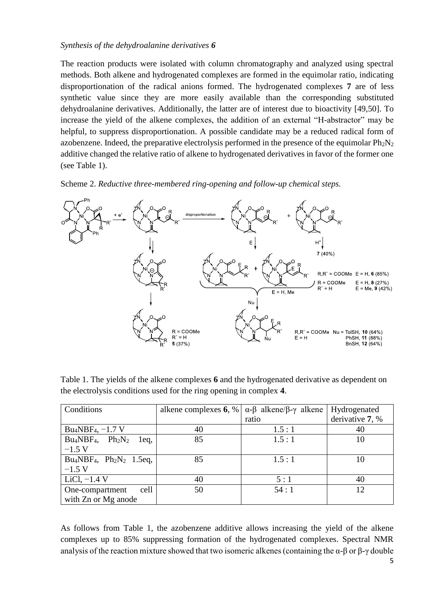### *Synthesis of the dehydroalanine derivatives 6*

The reaction products were isolated with column chromatography and analyzed using spectral methods. Both alkene and hydrogenated complexes are formed in the equimolar ratio, indicating disproportionation of the radical anions formed. The hydrogenated complexes **7** are of less synthetic value since they are more easily available than the corresponding substituted dehydroalanine derivatives. Additionally, the latter are of interest due to bioactivity [49,50]. To increase the yield of the alkene complexes, the addition of an external "H-abstractor" may be helpful, to suppress disproportionation. A possible candidate may be a reduced radical form of azobenzene. Indeed, the preparative electrolysis performed in the presence of the equimolar  $Ph_2N_2$ additive changed the relative ratio of alkene to hydrogenated derivatives in favor of the former one (see Table 1).

Scheme 2. *Reductive three-membered ring-opening and follow-up chemical steps.*



Table 1. The yields of the alkene complexes **6** and the hydrogenated derivative as dependent on the electrolysis conditions used for the ring opening in complex **4**.

| Conditions                                  | alkene complexes $6, %$ | $\alpha$ -β alkene/β-γ alkene | Hydrogenated    |
|---------------------------------------------|-------------------------|-------------------------------|-----------------|
|                                             |                         | ratio                         | derivative 7, % |
| Bu <sub>4</sub> NBF <sub>4</sub> , $-1.7$ V | 40                      | 1.5:1                         | 40              |
| $Bu_4NBF_4$ , $Ph_2N_2$<br>1eq,             | 85                      | 1.5:1                         | 10              |
| $-1.5$ V                                    |                         |                               |                 |
| $Bu_4NBF_4$ , $Ph_2N_2$ 1.5eq,              | 85                      | 1.5:1                         | 10              |
| $-1.5$ V                                    |                         |                               |                 |
| LiCl, $-1.4$ V                              | 40                      | 5:1                           | 40              |
| One-compartment<br>cell                     | 50                      | 54:1                          | 12              |
| with Zn or Mg anode                         |                         |                               |                 |

As follows from Table 1, the azobenzene additive allows increasing the yield of the alkene complexes up to 85% suppressing formation of the hydrogenated complexes. Spectral NMR analysis of the reaction mixture showed that two isomeric alkenes (containing the  $\alpha$ -β or β-γ double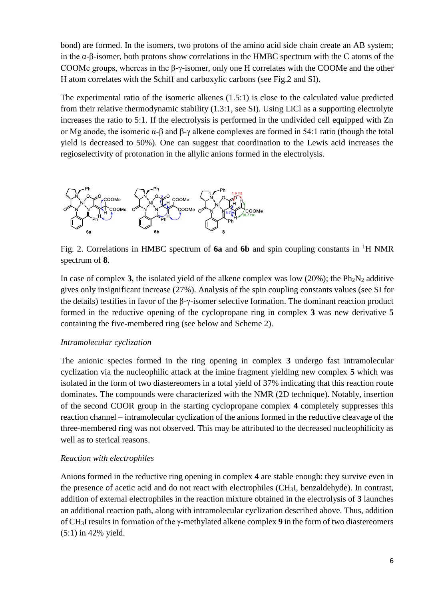bond) are formed. In the isomers, two protons of the amino acid side chain create an AB system; in the α-β-isomer, both protons show correlations in the HMBC spectrum with the C atoms of the COOMe groups, whereas in the β-γ-isomer, only one H correlates with the COOMe and the other H atom correlates with the Schiff and carboxylic carbons (see Fig.2 and SI).

The experimental ratio of the isomeric alkenes (1.5:1) is close to the calculated value predicted from their relative thermodynamic stability (1.3:1, see SI). Using LiCl as a supporting electrolyte increases the ratio to 5:1. If the electrolysis is performed in the undivided cell equipped with Zn or Mg anode, the isomeric α-β and β-γ alkene complexes are formed in 54:1 ratio (though the total yield is decreased to 50%). One can suggest that coordination to the Lewis acid increases the regioselectivity of protonation in the allylic anions formed in the electrolysis.



Fig. 2. Correlations in HMBC spectrum of **6a** and **6b** and spin coupling constants in <sup>1</sup>H NMR spectrum of **8**.

In case of complex **3**, the isolated yield of the alkene complex was low (20%); the  $Ph_2N_2$  additive gives only insignificant increase (27%). Analysis of the spin coupling constants values (see SI for the details) testifies in favor of the β-γ-isomer selective formation. The dominant reaction product formed in the reductive opening of the cyclopropane ring in complex **3** was new derivative **5** containing the five-membered ring (see below and Scheme 2).

### *Intramolecular cyclization*

The anionic species formed in the ring opening in complex **3** undergo fast intramolecular cyclization via the nucleophilic attack at the imine fragment yielding new complex **5** which was isolated in the form of two diastereomers in a total yield of 37% indicating that this reaction route dominates. The compounds were characterized with the NMR (2D technique). Notably, insertion of the second COOR group in the starting cyclopropane complex **4** completely suppresses this reaction channel – intramolecular cyclization of the anions formed in the reductive cleavage of the three-membered ring was not observed. This may be attributed to the decreased nucleophilicity as well as to sterical reasons.

# *Reaction with electrophiles*

Anions formed in the reductive ring opening in complex **4** are stable enough: they survive even in the presence of acetic acid and do not react with electrophiles (CH3I, benzaldehyde). In contrast, addition of external electrophiles in the reaction mixture obtained in the electrolysis of **3** launches an additional reaction path, along with intramolecular cyclization described above. Thus, addition of CH3I results in formation of the γ-methylated alkene complex **9** in the form of two diastereomers (5:1) in 42% yield.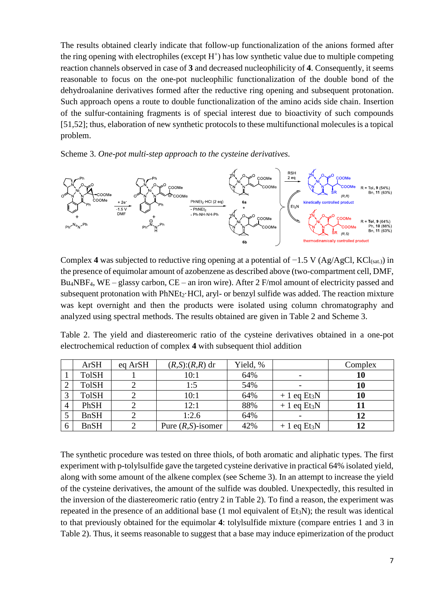The results obtained clearly indicate that follow-up functionalization of the anions formed after the ring opening with electrophiles (except  $H^+$ ) has low synthetic value due to multiple competing reaction channels observed in case of **3** and decreased nucleophilicity of **4**. Consequently, it seems reasonable to focus on the one-pot nucleophilic functionalization of the double bond of the dehydroalanine derivatives formed after the reductive ring opening and subsequent protonation. Such approach opens a route to double functionalization of the amino acids side chain. Insertion of the sulfur-containing fragments is of special interest due to bioactivity of such compounds [51,52]; thus, elaboration of new synthetic protocols to these multifunctional molecules is a topical problem.





Complex 4 was subjected to reductive ring opening at a potential of −1.5 V (Ag/AgCl, KCl(sat.)) in the presence of equimolar amount of azobenzene as described above (two-compartment cell, DMF, Bu4NBF4, WE – glassy carbon, CE – an iron wire). After 2 F/mol amount of electricity passed and subsequent protonation with PhNEt<sub>2</sub>·HCl, aryl- or benzyl sulfide was added. The reaction mixture was kept overnight and then the products were isolated using column chromatography and analyzed using spectral methods. The results obtained are given in Table 2 and Scheme 3.

Table 2. The yield and diastereomeric ratio of the cysteine derivatives obtained in a one-pot electrochemical reduction of complex **4** with subsequent thiol addition

|   | <b>ArSH</b>  | eq ArSH | $(R,S):(R,R)$ dr      | Yield, % |                           | Complex |
|---|--------------|---------|-----------------------|----------|---------------------------|---------|
|   | <b>TolSH</b> |         | 10:1                  | 64%      |                           | 10      |
|   | <b>TolSH</b> |         | 1:5                   | 54%      |                           | 10      |
|   | <b>TolSH</b> |         | 10:1                  | 64%      | $+1$ eq Et <sub>3</sub> N | 10      |
| 4 | PhSH         |         | 12:1                  | 88%      | $+1$ eq Et <sub>3</sub> N |         |
|   | <b>BnSH</b>  |         | 1:2.6                 | 64%      |                           |         |
| b | <b>BnSH</b>  |         | Pure $(R, S)$ -isomer | 42%      | $+1$ eq Et <sub>3</sub> N |         |

The synthetic procedure was tested on three thiols, of both aromatic and aliphatic types. The first experiment with p-tolylsulfide gave the targeted cysteine derivative in practical 64% isolated yield, along with some amount of the alkene complex (see Scheme 3). In an attempt to increase the yield of the cysteine derivatives, the amount of the sulfide was doubled. Unexpectedly, this resulted in the inversion of the diastereomeric ratio (entry 2 in Table 2). To find a reason, the experiment was repeated in the presence of an additional base  $(1 \text{ mol} \text{ equivalent of } Et_3N)$ ; the result was identical to that previously obtained for the equimolar **4**: tolylsulfide mixture (compare entries 1 and 3 in Table 2). Thus, it seems reasonable to suggest that a base may induce epimerization of the product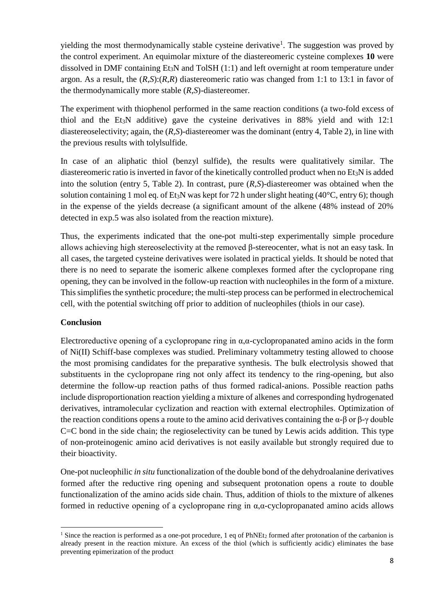yielding the most thermodynamically stable cysteine derivative<sup>1</sup>. The suggestion was proved by the control experiment. An equimolar mixture of the diastereomeric cysteine complexes **10** were dissolved in DMF containing  $Et_3N$  and TolSH  $(1:1)$  and left overnight at room temperature under argon. As a result, the (*R*,*S*):(*R*,*R*) diastereomeric ratio was changed from 1:1 to 13:1 in favor of the thermodynamically more stable (*R*,*S*)-diastereomer.

The experiment with thiophenol performed in the same reaction conditions (a two-fold excess of thiol and the Et<sub>3</sub>N additive) gave the cysteine derivatives in  $88\%$  yield and with 12:1 diastereoselectivity; again, the (*R*,*S*)-diastereomer was the dominant (entry 4, Table 2), in line with the previous results with tolylsulfide.

In case of an aliphatic thiol (benzyl sulfide), the results were qualitatively similar. The diastereomeric ratio is inverted in favor of the kinetically controlled product when no  $Et<sub>3</sub>N$  is added into the solution (entry 5, Table 2). In contrast, pure (*R*,*S*)-diastereomer was obtained when the solution containing 1 mol eq. of Et<sub>3</sub>N was kept for 72 h under slight heating (40 $^{\circ}$ C, entry 6); though in the expense of the yields decrease (a significant amount of the alkene (48% instead of 20% detected in exp.5 was also isolated from the reaction mixture).

Thus, the experiments indicated that the one-pot multi-step experimentally simple procedure allows achieving high stereoselectivity at the removed β-stereocenter, what is not an easy task. In all cases, the targeted cysteine derivatives were isolated in practical yields. It should be noted that there is no need to separate the isomeric alkene complexes formed after the cyclopropane ring opening, they can be involved in the follow-up reaction with nucleophiles in the form of a mixture. This simplifies the synthetic procedure; the multi-step process can be performed in electrochemical cell, with the potential switching off prior to addition of nucleophiles (thiols in our case).

# **Conclusion**

**.** 

Electroreductive opening of a cyclopropane ring in  $\alpha$ , $\alpha$ -cyclopropanated amino acids in the form of Ni(II) Schiff-base complexes was studied. Preliminary voltammetry testing allowed to choose the most promising candidates for the preparative synthesis. The bulk electrolysis showed that substituents in the cyclopropane ring not only affect its tendency to the ring-opening, but also determine the follow-up reaction paths of thus formed radical-anions. Possible reaction paths include disproportionation reaction yielding a mixture of alkenes and corresponding hydrogenated derivatives, intramolecular cyclization and reaction with external electrophiles. Optimization of the reaction conditions opens a route to the amino acid derivatives containing the  $\alpha$ -β or β-γ double C=C bond in the side chain; the regioselectivity can be tuned by Lewis acids addition. This type of non-proteinogenic amino acid derivatives is not easily available but strongly required due to their bioactivity.

One-pot nucleophilic *in situ* functionalization of the double bond of the dehydroalanine derivatives formed after the reductive ring opening and subsequent protonation opens a route to double functionalization of the amino acids side chain. Thus, addition of thiols to the mixture of alkenes formed in reductive opening of a cyclopropane ring in α,α-cyclopropanated amino acids allows

<sup>&</sup>lt;sup>1</sup> Since the reaction is performed as a one-pot procedure, 1 eq of PhNEt<sub>2</sub> formed after protonation of the carbanion is already present in the reaction mixture. An excess of the thiol (which is sufficiently acidic) eliminates the base preventing epimerization of the product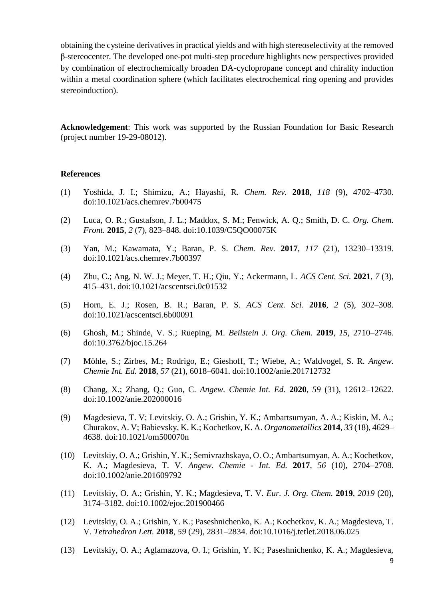obtaining the cysteine derivatives in practical yields and with high stereoselectivity at the removed β-stereocenter. The developed one-pot multi-step procedure highlights new perspectives provided by combination of electrochemically broaden DA-cyclopropane concept and chirality induction within a metal coordination sphere (which facilitates electrochemical ring opening and provides stereoinduction).

**Acknowledgement**: This work was supported by the Russian Foundation for Basic Research (project number 19-29-08012).

#### **References**

- (1) Yoshida, J. I.; Shimizu, A.; Hayashi, R. *Chem. Rev.* **2018**, *118* (9), 4702–4730. doi:10.1021/acs.chemrev.7b00475
- (2) Luca, O. R.; Gustafson, J. L.; Maddox, S. M.; Fenwick, A. Q.; Smith, D. C. *Org. Chem. Front.* **2015**, *2* (7), 823–848. doi:10.1039/C5QO00075K
- (3) Yan, M.; Kawamata, Y.; Baran, P. S. *Chem. Rev.* **2017**, *117* (21), 13230–13319. doi:10.1021/acs.chemrev.7b00397
- (4) Zhu, C.; Ang, N. W. J.; Meyer, T. H.; Qiu, Y.; Ackermann, L. *ACS Cent. Sci.* **2021**, *7* (3), 415–431. doi:10.1021/acscentsci.0c01532
- (5) Horn, E. J.; Rosen, B. R.; Baran, P. S. *ACS Cent. Sci.* **2016**, *2* (5), 302–308. doi:10.1021/acscentsci.6b00091
- (6) Ghosh, M.; Shinde, V. S.; Rueping, M. *Beilstein J. Org. Chem.* **2019**, *15*, 2710–2746. doi:10.3762/bjoc.15.264
- (7) Möhle, S.; Zirbes, M.; Rodrigo, E.; Gieshoff, T.; Wiebe, A.; Waldvogel, S. R. *Angew. Chemie Int. Ed.* **2018**, *57* (21), 6018–6041. doi:10.1002/anie.201712732
- (8) Chang, X.; Zhang, Q.; Guo, C. *Angew. Chemie Int. Ed.* **2020**, *59* (31), 12612–12622. doi:10.1002/anie.202000016
- (9) Magdesieva, T. V; Levitskiy, O. A.; Grishin, Y. K.; Ambartsumyan, A. A.; Kiskin, M. A.; Churakov, A. V; Babievsky, K. K.; Kochetkov, K. A. *Organometallics* **2014**, *33* (18), 4629– 4638. doi:10.1021/om500070n
- (10) Levitskiy, O. A.; Grishin, Y. K.; Semivrazhskaya, O. O.; Ambartsumyan, A. A.; Kochetkov, K. A.; Magdesieva, T. V. *Angew. Chemie - Int. Ed.* **2017**, *56* (10), 2704–2708. doi:10.1002/anie.201609792
- (11) Levitskiy, O. A.; Grishin, Y. K.; Magdesieva, T. V. *Eur. J. Org. Chem.* **2019**, *2019* (20), 3174–3182. doi:10.1002/ejoc.201900466
- (12) Levitskiy, O. A.; Grishin, Y. K.; Paseshnichenko, K. A.; Kochetkov, K. A.; Magdesieva, T. V. *Tetrahedron Lett.* **2018**, *59* (29), 2831–2834. doi:10.1016/j.tetlet.2018.06.025
- (13) Levitskiy, O. A.; Aglamazova, O. I.; Grishin, Y. K.; Paseshnichenko, K. A.; Magdesieva,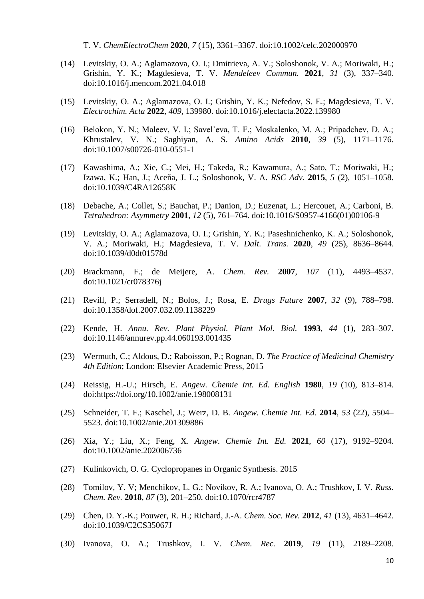T. V. *ChemElectroChem* **2020**, *7* (15), 3361–3367. doi:10.1002/celc.202000970

- (14) Levitskiy, O. A.; Aglamazova, O. I.; Dmitrieva, A. V.; Soloshonok, V. A.; Moriwaki, H.; Grishin, Y. K.; Magdesieva, T. V. *Mendeleev Commun.* **2021**, *31* (3), 337–340. doi:10.1016/j.mencom.2021.04.018
- (15) Levitskiy, O. A.; Aglamazova, O. I.; Grishin, Y. K.; Nefedov, S. E.; Magdesieva, T. V. *Electrochim. Acta* **2022**, *409*, 139980. doi:10.1016/j.electacta.2022.139980
- (16) Belokon, Y. N.; Maleev, V. I.; Savel'eva, T. F.; Moskalenko, M. A.; Pripadchev, D. A.; Khrustalev, V. N.; Saghiyan, A. S. *Amino Acids* **2010**, *39* (5), 1171–1176. doi:10.1007/s00726-010-0551-1
- (17) Kawashima, A.; Xie, C.; Mei, H.; Takeda, R.; Kawamura, A.; Sato, T.; Moriwaki, H.; Izawa, K.; Han, J.; Aceña, J. L.; Soloshonok, V. A. *RSC Adv.* **2015**, *5* (2), 1051–1058. doi:10.1039/C4RA12658K
- (18) Debache, A.; Collet, S.; Bauchat, P.; Danion, D.; Euzenat, L.; Hercouet, A.; Carboni, B. *Tetrahedron: Asymmetry* **2001**, *12* (5), 761–764. doi:10.1016/S0957-4166(01)00106-9
- (19) Levitskiy, O. A.; Aglamazova, O. I.; Grishin, Y. K.; Paseshnichenko, K. A.; Soloshonok, V. A.; Moriwaki, H.; Magdesieva, T. V. *Dalt. Trans.* **2020**, *49* (25), 8636–8644. doi:10.1039/d0dt01578d
- (20) Brackmann, F.; de Meijere, A. *Chem. Rev.* **2007**, *107* (11), 4493–4537. doi:10.1021/cr078376j
- (21) Revill, P.; Serradell, N.; Bolos, J.; Rosa, E. *Drugs Future* **2007**, *32* (9), 788–798. doi:10.1358/dof.2007.032.09.1138229
- (22) Kende, H. *Annu. Rev. Plant Physiol. Plant Mol. Biol.* **1993**, *44* (1), 283–307. doi:10.1146/annurev.pp.44.060193.001435
- (23) Wermuth, C.; Aldous, D.; Raboisson, P.; Rognan, D. *The Practice of Medicinal Chemistry 4th Edition*; London: Elsevier Academic Press, 2015
- (24) Reissig, H.-U.; Hirsch, E. *Angew. Chemie Int. Ed. English* **1980**, *19* (10), 813–814. doi:https://doi.org/10.1002/anie.198008131
- (25) Schneider, T. F.; Kaschel, J.; Werz, D. B. *Angew. Chemie Int. Ed.* **2014**, *53* (22), 5504– 5523. doi:10.1002/anie.201309886
- (26) Xia, Y.; Liu, X.; Feng, X. *Angew. Chemie Int. Ed.* **2021**, *60* (17), 9192–9204. doi:10.1002/anie.202006736
- (27) Kulinkovich, O. G. Cyclopropanes in Organic Synthesis. 2015
- (28) Tomilov, Y. V; Menchikov, L. G.; Novikov, R. A.; Ivanova, O. A.; Trushkov, I. V. *Russ. Chem. Rev.* **2018**, *87* (3), 201–250. doi:10.1070/rcr4787
- (29) Chen, D. Y.-K.; Pouwer, R. H.; Richard, J.-A. *Chem. Soc. Rev.* **2012**, *41* (13), 4631–4642. doi:10.1039/C2CS35067J
- (30) Ivanova, O. A.; Trushkov, I. V. *Chem. Rec.* **2019**, *19* (11), 2189–2208.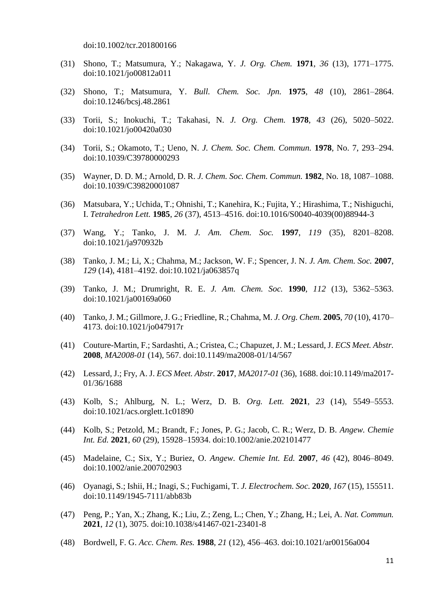doi:10.1002/tcr.201800166

- (31) Shono, T.; Matsumura, Y.; Nakagawa, Y. *J. Org. Chem.* **1971**, *36* (13), 1771–1775. doi:10.1021/jo00812a011
- (32) Shono, T.; Matsumura, Y. *Bull. Chem. Soc. Jpn.* **1975**, *48* (10), 2861–2864. doi:10.1246/bcsj.48.2861
- (33) Torii, S.; Inokuchi, T.; Takahasi, N. *J. Org. Chem.* **1978**, *43* (26), 5020–5022. doi:10.1021/jo00420a030
- (34) Torii, S.; Okamoto, T.; Ueno, N. *J. Chem. Soc. Chem. Commun.* **1978**, No. 7, 293–294. doi:10.1039/C39780000293
- (35) Wayner, D. D. M.; Arnold, D. R. *J. Chem. Soc. Chem. Commun.* **1982**, No. 18, 1087–1088. doi:10.1039/C39820001087
- (36) Matsubara, Y.; Uchida, T.; Ohnishi, T.; Kanehira, K.; Fujita, Y.; Hirashima, T.; Nishiguchi, I. *Tetrahedron Lett.* **1985**, *26* (37), 4513–4516. doi:10.1016/S0040-4039(00)88944-3
- (37) Wang, Y.; Tanko, J. M. *J. Am. Chem. Soc.* **1997**, *119* (35), 8201–8208. doi:10.1021/ja970932b
- (38) Tanko, J. M.; Li, X.; Chahma, M.; Jackson, W. F.; Spencer, J. N. *J. Am. Chem. Soc.* **2007**, *129* (14), 4181–4192. doi:10.1021/ja063857q
- (39) Tanko, J. M.; Drumright, R. E. *J. Am. Chem. Soc.* **1990**, *112* (13), 5362–5363. doi:10.1021/ja00169a060
- (40) Tanko, J. M.; Gillmore, J. G.; Friedline, R.; Chahma, M. *J. Org. Chem.* **2005**, *70* (10), 4170– 4173. doi:10.1021/jo047917r
- (41) Couture-Martin, F.; Sardashti, A.; Cristea, C.; Chapuzet, J. M.; Lessard, J. *ECS Meet. Abstr.* **2008**, *MA2008*-*01* (14), 567. doi:10.1149/ma2008-01/14/567
- (42) Lessard, J.; Fry, A. J. *ECS Meet. Abstr.* **2017**, *MA2017*-*01* (36), 1688. doi:10.1149/ma2017- 01/36/1688
- (43) Kolb, S.; Ahlburg, N. L.; Werz, D. B. *Org. Lett.* **2021**, *23* (14), 5549–5553. doi:10.1021/acs.orglett.1c01890
- (44) Kolb, S.; Petzold, M.; Brandt, F.; Jones, P. G.; Jacob, C. R.; Werz, D. B. *Angew. Chemie Int. Ed.* **2021**, *60* (29), 15928–15934. doi:10.1002/anie.202101477
- (45) Madelaine, C.; Six, Y.; Buriez, O. *Angew. Chemie Int. Ed.* **2007**, *46* (42), 8046–8049. doi:10.1002/anie.200702903
- (46) Oyanagi, S.; Ishii, H.; Inagi, S.; Fuchigami, T. *J. Electrochem. Soc.* **2020**, *167* (15), 155511. doi:10.1149/1945-7111/abb83b
- (47) Peng, P.; Yan, X.; Zhang, K.; Liu, Z.; Zeng, L.; Chen, Y.; Zhang, H.; Lei, A. *Nat. Commun.* **2021**, *12* (1), 3075. doi:10.1038/s41467-021-23401-8
- (48) Bordwell, F. G. *Acc. Chem. Res.* **1988**, *21* (12), 456–463. doi:10.1021/ar00156a004